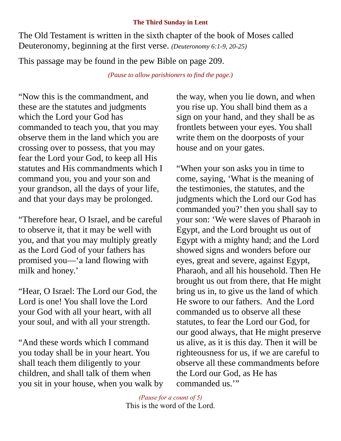## **The Third Sunday in Lent**

The Old Testament is written in the sixth chapter of the book of Moses called Deuteronomy, beginning at the first verse. *(Deuteronomy 6:1-9, 20-25)*

This passage may be found in the pew Bible on page 209.

*(Pause to allow parishioners to find the page.)*

"Now this is the commandment, and these are the statutes and judgments which the Lord your God has commanded to teach you, that you may observe them in the land which you are crossing over to possess, that you may fear the Lord your God, to keep all His statutes and His commandments which I command you, you and your son and your grandson, all the days of your life, and that your days may be prolonged.

"Therefore hear, O Israel, and be careful to observe it, that it may be well with you, and that you may multiply greatly as the Lord God of your fathers has promised you—'a land flowing with milk and honey.'

"Hear, O Israel: The Lord our God, the Lord is one! You shall love the Lord your God with all your heart, with all your soul, and with all your strength.

"And these words which I command you today shall be in your heart. You shall teach them diligently to your children, and shall talk of them when you sit in your house, when you walk by the way, when you lie down, and when you rise up. You shall bind them as a sign on your hand, and they shall be as frontlets between your eyes. You shall write them on the doorposts of your house and on your gates.

"When your son asks you in time to come, saying, 'What is the meaning of the testimonies, the statutes, and the judgments which the Lord our God has commanded you?' then you shall say to your son: 'We were slaves of Pharaoh in Egypt, and the Lord brought us out of Egypt with a mighty hand; and the Lord showed signs and wonders before our eyes, great and severe, against Egypt, Pharaoh, and all his household. Then He brought us out from there, that He might bring us in, to give us the land of which He swore to our fathers. And the Lord commanded us to observe all these statutes, to fear the Lord our God, for our good always, that He might preserve us alive, as it is this day. Then it will be righteousness for us, if we are careful to observe all these commandments before the Lord our God, as He has commanded us.'"

*(Pause for a count of 5)* This is the word of the Lord.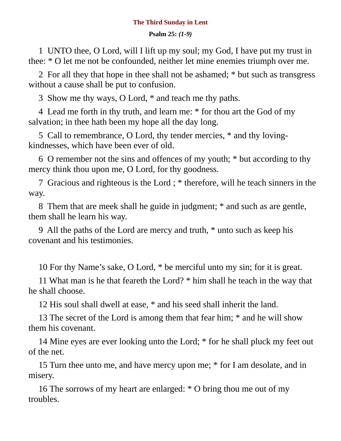## **The Third Sunday in Lent**

**Psalm 25:** *(1-9)*

1 UNTO thee, O Lord, will I lift up my soul; my God, I have put my trust in thee: \* O let me not be confounded, neither let mine enemies triumph over me.

2 For all they that hope in thee shall not be ashamed; \* but such as transgress without a cause shall be put to confusion.

3 Show me thy ways, O Lord, \* and teach me thy paths.

4 Lead me forth in thy truth, and learn me: \* for thou art the God of my salvation; in thee hath been my hope all the day long.

5 Call to remembrance, O Lord, thy tender mercies, \* and thy lovingkindnesses, which have been ever of old.

6 O remember not the sins and offences of my youth; \* but according to thy mercy think thou upon me, O Lord, for thy goodness.

7 Gracious and righteous is the Lord ; \* therefore, will he teach sinners in the way.

8 Them that are meek shall he guide in judgment; \* and such as are gentle, them shall he learn his way.

9 All the paths of the Lord are mercy and truth, \* unto such as keep his covenant and his testimonies.

10 For thy Name's sake, O Lord, \* be merciful unto my sin; for it is great.

11 What man is he that feareth the Lord? \* him shall he teach in the way that he shall choose.

12 His soul shall dwell at ease, \* and his seed shall inherit the land.

13 The secret of the Lord is among them that fear him; \* and he will show them his covenant.

14 Mine eyes are ever looking unto the Lord; \* for he shall pluck my feet out of the net.

15 Turn thee unto me, and have mercy upon me; \* for I am desolate, and in misery.

16 The sorrows of my heart are enlarged: \* O bring thou me out of my troubles.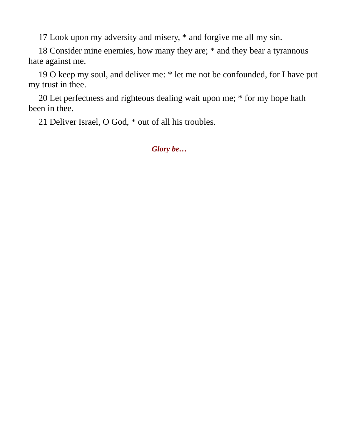17 Look upon my adversity and misery, \* and forgive me all my sin.

18 Consider mine enemies, how many they are; \* and they bear a tyrannous hate against me.

19 O keep my soul, and deliver me: \* let me not be confounded, for I have put my trust in thee.

20 Let perfectness and righteous dealing wait upon me; \* for my hope hath been in thee.

21 Deliver Israel, O God, \* out of all his troubles.

*Glory be…*